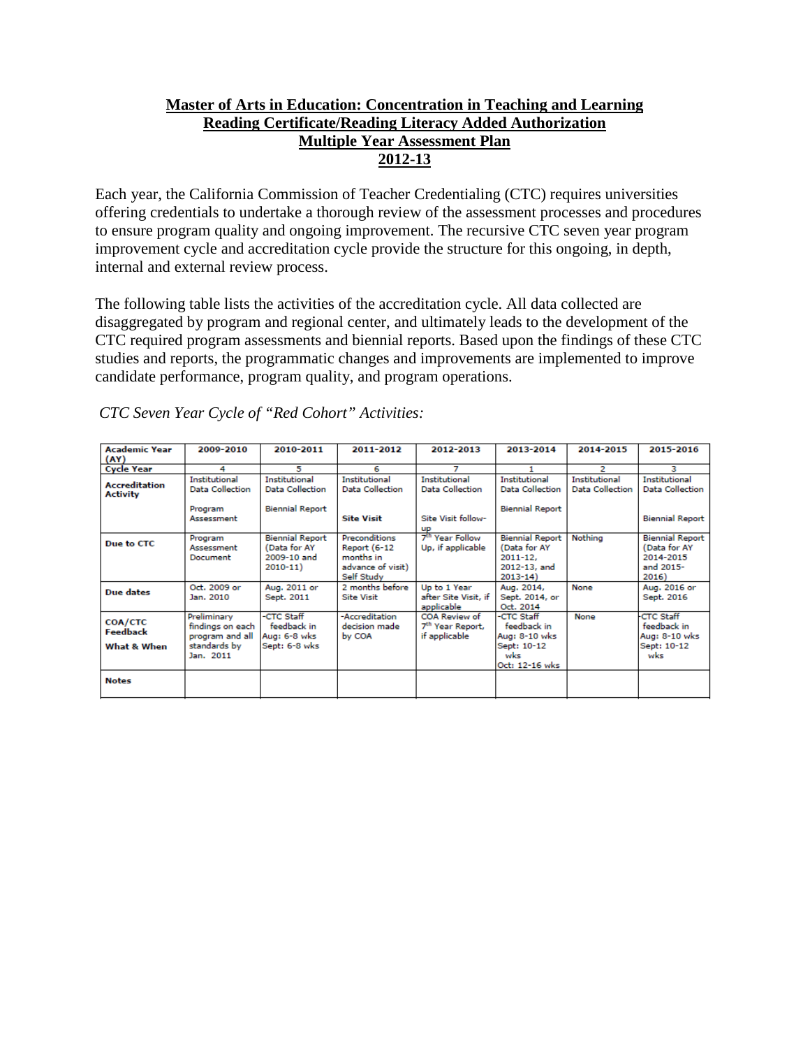# **Master of Arts in Education: Concentration in Teaching and Learning Reading Certificate/Reading Literacy Added Authorization Multiple Year Assessment Plan 2012-13**

Each year, the California Commission of Teacher Credentialing (CTC) requires universities offering credentials to undertake a thorough review of the assessment processes and procedures to ensure program quality and ongoing improvement. The recursive CTC seven year program improvement cycle and accreditation cycle provide the structure for this ongoing, in depth, internal and external review process.

The following table lists the activities of the accreditation cycle. All data collected are disaggregated by program and regional center, and ultimately leads to the development of the CTC required program assessments and biennial reports. Based upon the findings of these CTC studies and reports, the programmatic changes and improvements are implemented to improve candidate performance, program quality, and program operations.

| <b>Academic Year</b>                      | 2009-2010                                                                       | 2010-2011                                                            | 2011-2012                                                                     | 2012-2013                                                             | 2013-2014                                                                             | 2014-2015                               | 2015-2016                                                                 |
|-------------------------------------------|---------------------------------------------------------------------------------|----------------------------------------------------------------------|-------------------------------------------------------------------------------|-----------------------------------------------------------------------|---------------------------------------------------------------------------------------|-----------------------------------------|---------------------------------------------------------------------------|
| (AY)                                      |                                                                                 |                                                                      |                                                                               |                                                                       |                                                                                       |                                         |                                                                           |
| <b>Cycle Year</b>                         | 4                                                                               | 5                                                                    | 6                                                                             |                                                                       |                                                                                       | 2                                       | з                                                                         |
| <b>Accreditation</b><br><b>Activity</b>   | <b>Institutional</b><br><b>Data Collection</b>                                  | <b>Institutional</b><br><b>Data Collection</b>                       | <b>Institutional</b><br>Data Collection                                       | <b>Institutional</b><br>Data Collection                               | Institutional<br>Data Collection                                                      | <b>Institutional</b><br>Data Collection | <b>Institutional</b><br><b>Data Collection</b>                            |
|                                           | Program<br>Assessment                                                           | <b>Biennial Report</b>                                               | <b>Site Visit</b>                                                             | Site Visit follow-<br><b>UP</b>                                       | <b>Biennial Report</b>                                                                |                                         | <b>Biennial Report</b>                                                    |
| Due to CTC                                | Program<br>Assessment<br>Document                                               | <b>Biennial Report</b><br>(Data for AY<br>2009-10 and<br>$2010 - 11$ | Preconditions<br>Report (6-12<br>months in<br>advance of visit)<br>Self Study | 7 <sup>th</sup> Year Follow<br>Up, if applicable                      | <b>Biennial Report</b><br>(Data for AY<br>$2011 - 12.$<br>2012-13, and<br>$2013 - 14$ | Nothing                                 | <b>Biennial Report</b><br>(Data for AY<br>2014-2015<br>and 2015-<br>2016) |
| Due dates                                 | Oct. 2009 or<br>Jan. 2010                                                       | Aug. 2011 or<br>Sept. 2011                                           | 2 months before<br><b>Site Visit</b>                                          | Up to 1 Year<br>after Site Visit, if<br>applicable                    | Aug. 2014,<br>Sept. 2014, or<br>Oct. 2014                                             | None                                    | Aug. 2016 or<br>Sept. 2016                                                |
| COA/CTC<br><b>Feedback</b><br>What & When | Preliminary<br>findings on each<br>program and all<br>standards by<br>Jan. 2011 | -CTC Staff<br>feedback in<br>Aug: 6-8 wks<br>Sept: 6-8 wks           | -Accreditation<br>decision made.<br>by COA                                    | <b>COA Review of</b><br>7 <sup>th</sup> Year Report,<br>if applicable | -CTC Staff<br>feedback in<br>Aug: 8-10 wks<br>Sept: 10-12<br>wks<br>Oct: 12-16 wks    | None                                    | <b>CTC Staff</b><br>feedback in<br>Aug: 8-10 wks<br>Sept: 10-12<br>wks    |
| <b>Notes</b>                              |                                                                                 |                                                                      |                                                                               |                                                                       |                                                                                       |                                         |                                                                           |

*CTC Seven Year Cycle of "Red Cohort" Activities:*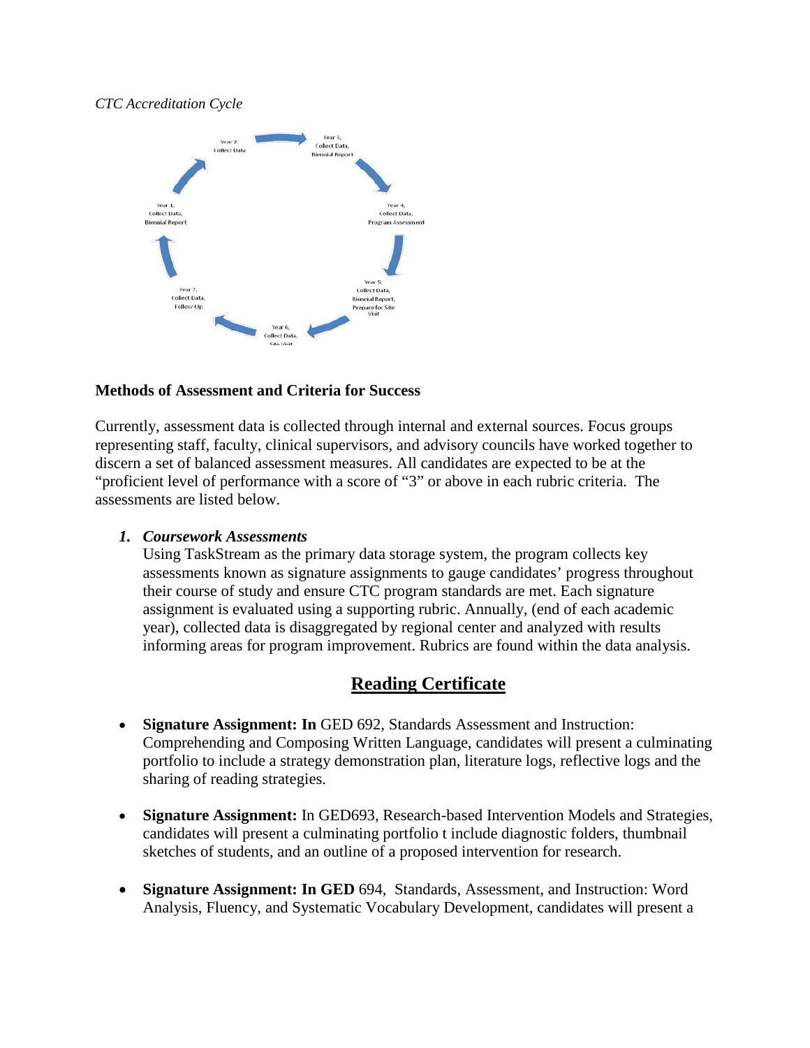#### *CTC Accreditation Cycle*



## **Methods of Assessment and Criteria for Success**

Currently, assessment data is collected through internal and external sources. Focus groups representing staff, faculty, clinical supervisors, and advisory councils have worked together to discern a set of balanced assessment measures. All candidates are expected to be at the "proficient level of performance with a score of "3" or above in each rubric criteria. The assessments are listed below.

### *1. Coursework Assessments*

Using TaskStream as the primary data storage system, the program collects key assessments known as signature assignments to gauge candidates' progress throughout their course of study and ensure CTC program standards are met. Each signature assignment is evaluated using a supporting rubric. Annually, (end of each academic year), collected data is disaggregated by regional center and analyzed with results informing areas for program improvement. Rubrics are found within the data analysis.

# **Reading Certificate**

- **Signature Assignment: In** GED 692, Standards Assessment and Instruction: Comprehending and Composing Written Language, candidates will present a culminating portfolio to include a strategy demonstration plan, literature logs, reflective logs and the sharing of reading strategies.
- **Signature Assignment:** In GED693, Research-based Intervention Models and Strategies, candidates will present a culminating portfolio t include diagnostic folders, thumbnail sketches of students, and an outline of a proposed intervention for research.
- **Signature Assignment: In GED** 694, Standards, Assessment, and Instruction: Word Analysis, Fluency, and Systematic Vocabulary Development, candidates will present a